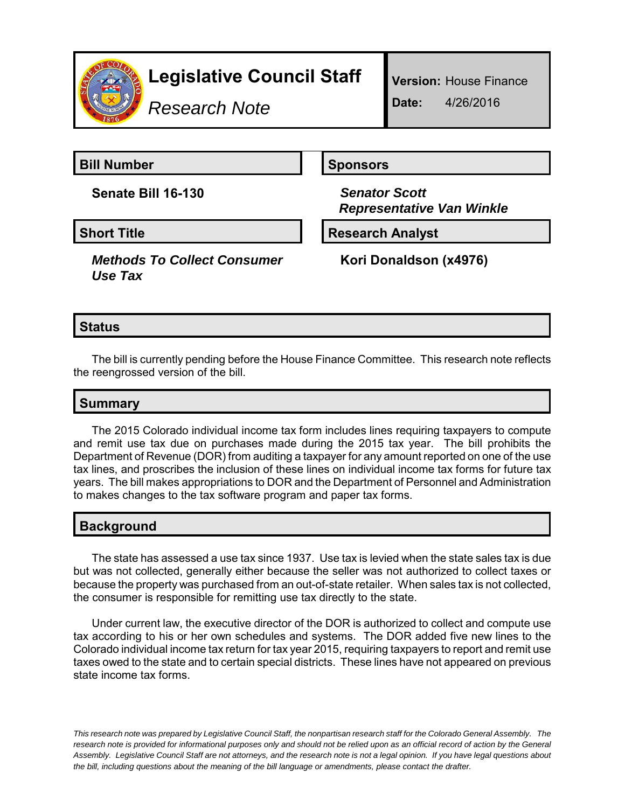

*Research Note*

**Version:** House Finance **Date:** 4/26/2016

**Bill Number Sponsors** 

**Senate Bill 16-130** *Senator Scott*

*Methods To Collect Consumer Use Tax*

*Representative Van Winkle*

**Short Title Community Community Community Research Analyst** 

**Kori Donaldson (x4976)**

## **Status**

The bill is currently pending before the House Finance Committee. This research note reflects the reengrossed version of the bill.

## **Summary**

The 2015 Colorado individual income tax form includes lines requiring taxpayers to compute and remit use tax due on purchases made during the 2015 tax year. The bill prohibits the Department of Revenue (DOR) from auditing a taxpayer for any amount reported on one of the use tax lines, and proscribes the inclusion of these lines on individual income tax forms for future tax years. The bill makes appropriations to DOR and the Department of Personnel and Administration to makes changes to the tax software program and paper tax forms.

## **Background**

The state has assessed a use tax since 1937. Use tax is levied when the state sales tax is due but was not collected, generally either because the seller was not authorized to collect taxes or because the property was purchased from an out-of-state retailer. When sales tax is not collected, the consumer is responsible for remitting use tax directly to the state.

Under current law, the executive director of the DOR is authorized to collect and compute use tax according to his or her own schedules and systems. The DOR added five new lines to the Colorado individual income tax return for tax year 2015, requiring taxpayers to report and remit use taxes owed to the state and to certain special districts. These lines have not appeared on previous state income tax forms.

*This research note was prepared by Legislative Council Staff, the nonpartisan research staff for the Colorado General Assembly. The research note is provided for informational purposes only and should not be relied upon as an official record of action by the General Assembly. Legislative Council Staff are not attorneys, and the research note is not a legal opinion. If you have legal questions about the bill, including questions about the meaning of the bill language or amendments, please contact the drafter.*